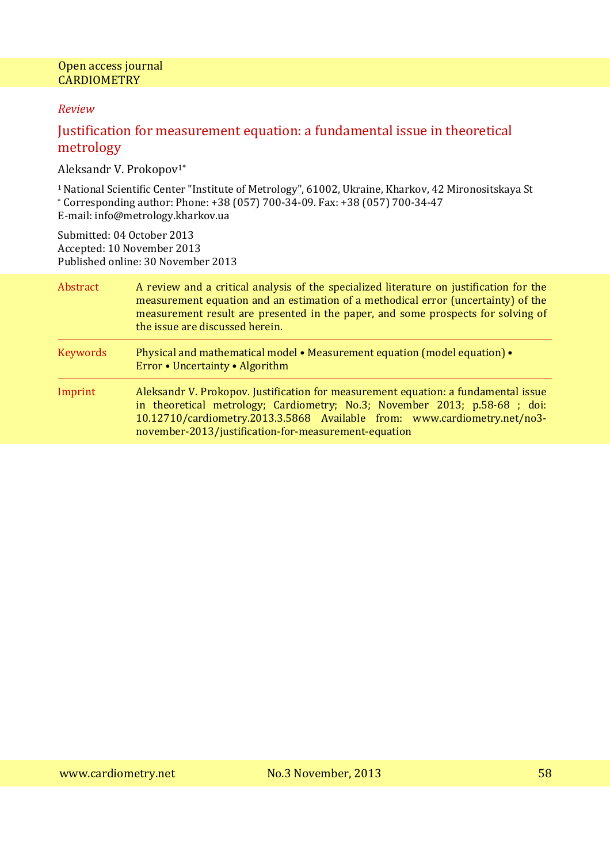### *Review*

# Justification for measurement equation: a fundamental issue in theoretical metrology

Aleksandr V. Prokopov1\*

<sup>1</sup>National Scientific Center "Institute of Metrology", 61002, Ukraine, Kharkov, 42 Mironositskaya St \* Corresponding author: Phone: +38 (057) 700-34-09. Fax: +38 (057) 700-34-47 E-mail: info@metrology.kharkov.ua

Submitted: 04 October 2013 Accepted: 10 November 2013 Published online: 30 November 2013

| Abstract | A review and a critical analysis of the specialized literature on justification for the<br>measurement equation and an estimation of a methodical error (uncertainty) of the<br>measurement result are presented in the paper, and some prospects for solving of<br>the issue are discussed herein.   |
|----------|-------------------------------------------------------------------------------------------------------------------------------------------------------------------------------------------------------------------------------------------------------------------------------------------------------|
| Keywords | Physical and mathematical model • Measurement equation (model equation) •<br>Error • Uncertainty • Algorithm                                                                                                                                                                                          |
| Imprint  | Aleksandr V. Prokopov. Justification for measurement equation: a fundamental issue<br>in theoretical metrology; Cardiometry; No.3; November 2013; p.58-68 ; doi:<br>10.12710/cardiometry.2013.3.5868 Available from: www.cardiometry.net/no3-<br>november-2013/justification-for-measurement-equation |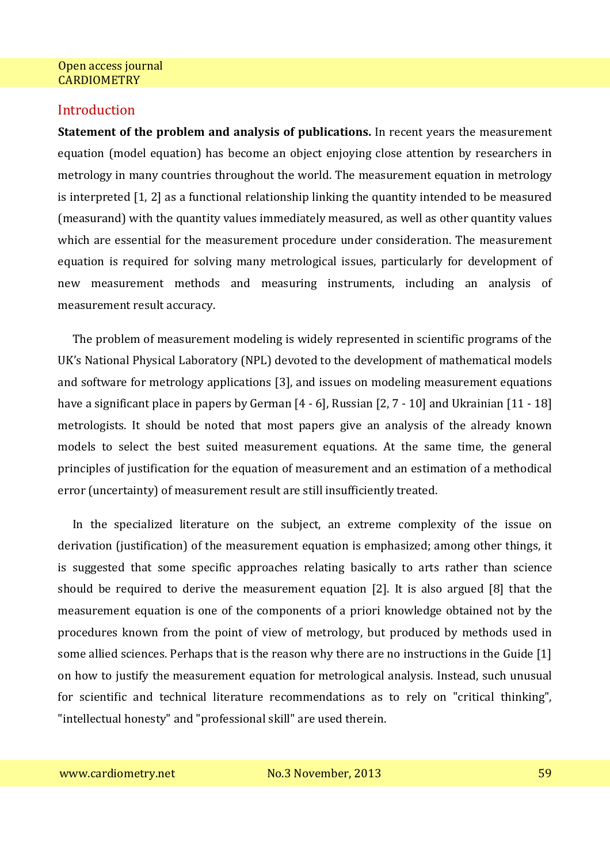### **Introduction**

**Statement of the problem and analysis of publications.** In recent years the measurement equation (model equation) has become an object enjoying close attention by researchers in metrology in many countries throughout the world. The measurement equation in metrology is interpreted [1, 2] as a functional relationship linking the quantity intended to be measured (measurand) with the quantity values immediately measured, as well as other quantity values which are essential for the measurement procedure under consideration. The measurement equation is required for solving many metrological issues, particularly for development of new measurement methods and measuring instruments, including an analysis of measurement result accuracy.

The problem of measurement modeling is widely represented in scientific programs of the UK's National Physical Laboratory (NPL) devoted to the development of mathematical models and software for metrology applications [3], and issues on modeling measurement equations have a significant place in papers by German [4 - 6], Russian [2, 7 - 10] and Ukrainian [11 - 18] metrologists. It should be noted that most papers give an analysis of the already known models to select the best suited measurement equations. At the same time, the general principles of justification for the equation of measurement and an estimation of a methodical error (uncertainty) of measurement result are still insufficiently treated.

In the specialized literature on the subject, an extreme complexity of the issue on derivation (justification) of the measurement equation is emphasized; among other things, it is suggested that some specific approaches relating basically to arts rather than science should be required to derive the measurement equation [2]. It is also argued [8] that the measurement equation is one of the components of a priori knowledge obtained not by the procedures known from the point of view of metrology, but produced by methods used in some allied sciences. Perhaps that is the reason why there are no instructions in the Guide [1] on how to justify the measurement equation for metrological analysis. Instead, such unusual for scientific and technical literature recommendations as to rely on "critical thinking", "intellectual honesty" and "professional skill" are used therein.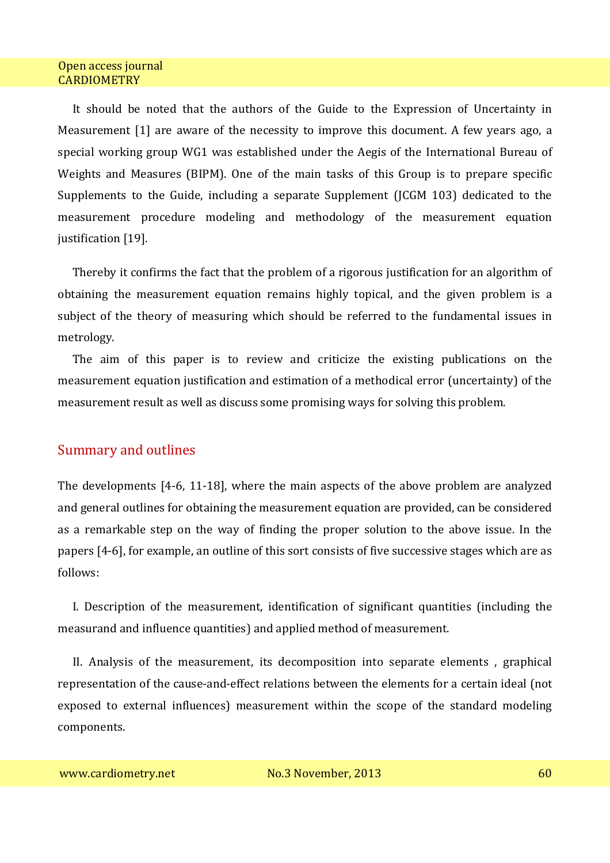It should be noted that the authors of the Guide to the Expression of Uncertainty in Measurement [1] are aware of the necessity to improve this document. A few years ago, a special working group WG1 was established under the Aegis of the International Bureau of Weights and Measures (BIPM). One of the main tasks of this Group is to prepare specific Supplements to the Guide, including a separate Supplement (JCGM 103) dedicated to the measurement procedure modeling and methodology of the measurement equation justification [19].

Thereby it confirms the fact that the problem of a rigorous justification for an algorithm of obtaining the measurement equation remains highly topical, and the given problem is a subject of the theory of measuring which should be referred to the fundamental issues in metrology.

The aim of this paper is to review and criticize the existing publications on the measurement equation justification and estimation of a methodical error (uncertainty) of the measurement result as well as discuss some promising ways for solving this problem.

## Summary and outlines

The developments [4-6, 11-18], where the main aspects of the above problem are analyzed and general outlines for obtaining the measurement equation are provided, can be considered as a remarkable step on the way of finding the proper solution to the above issue. In the papers [4-6], for example, an outline of this sort consists of five successive stages which are as follows:

I. Description of the measurement, identification of significant quantities (including the measurand and influence quantities) and applied method of measurement.

II. Analysis of the measurement, its decomposition into separate elements , graphical representation of the cause-and-effect relations between the elements for a certain ideal (not exposed to external influences) measurement within the scope of the standard modeling components.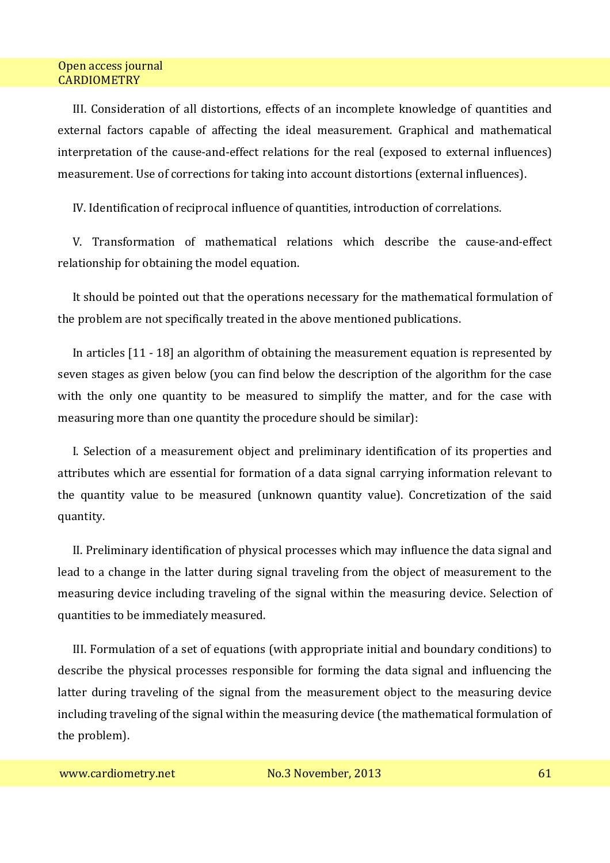III. Consideration of all distortions, effects of an incomplete knowledge of quantities and external factors capable of affecting the ideal measurement. Graphical and mathematical interpretation of the cause-and-effect relations for the real (exposed to external influences) measurement. Use of corrections for taking into account distortions (external influences).

IV. Identification of reciprocal influence of quantities, introduction of correlations.

V. Transformation of mathematical relations which describe the cause-and-effect relationship for obtaining the model equation.

It should be pointed out that the operations necessary for the mathematical formulation of the problem are not specifically treated in the above mentioned publications.

In articles [11 - 18] an algorithm of obtaining the measurement equation is represented by seven stages as given below (you can find below the description of the algorithm for the case with the only one quantity to be measured to simplify the matter, and for the case with measuring more than one quantity the procedure should be similar):

I. Selection of a measurement object and preliminary identification of its properties and attributes which are essential for formation of a data signal carrying information relevant to the quantity value to be measured (unknown quantity value). Concretization of the said quantity.

II. Preliminary identification of physical processes which may influence the data signal and lead to a change in the latter during signal traveling from the object of measurement to the measuring device including traveling of the signal within the measuring device. Selection of quantities to be immediately measured.

III. Formulation of a set of equations (with appropriate initial and boundary conditions) to describe the physical processes responsible for forming the data signal and influencing the latter during traveling of the signal from the measurement object to the measuring device including traveling of the signal within the measuring device (the mathematical formulation of the problem).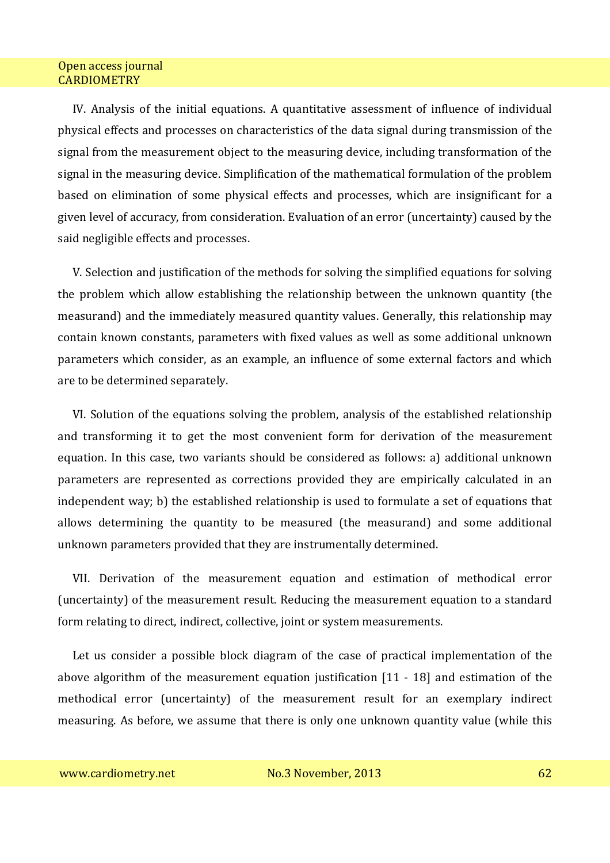IV. Analysis of the initial equations. A quantitative assessment of influence of individual physical effects and processes on characteristics of the data signal during transmission of the signal from the measurement object to the measuring device, including transformation of the signal in the measuring device. Simplification of the mathematical formulation of the problem based on elimination of some physical effects and processes, which are insignificant for a given level of accuracy, from consideration. Evaluation of an error (uncertainty) caused by the said negligible effects and processes.

V. Selection and justification of the methods for solving the simplified equations for solving the problem which allow establishing the relationship between the unknown quantity (the measurand) and the immediately measured quantity values. Generally, this relationship may contain known constants, parameters with fixed values as well as some additional unknown parameters which consider, as an example, an influence of some external factors and which are to be determined separately.

VI. Solution of the equations solving the problem, analysis of the established relationship and transforming it to get the most convenient form for derivation of the measurement equation. In this case, two variants should be considered as follows: a) additional unknown parameters are represented as corrections provided they are empirically calculated in an independent way; b) the established relationship is used to formulate a set of equations that allows determining the quantity to be measured (the measurand) and some additional unknown parameters provided that they are instrumentally determined.

VII. Derivation of the measurement equation and estimation of methodical error (uncertainty) of the measurement result. Reducing the measurement equation to a standard form relating to direct, indirect, collective, joint or system measurements.

Let us consider a possible block diagram of the case of practical implementation of the above algorithm of the measurement equation justification [11 - 18] and estimation of the methodical error (uncertainty) of the measurement result for an exemplary indirect measuring. As before, we assume that there is only one unknown quantity value (while this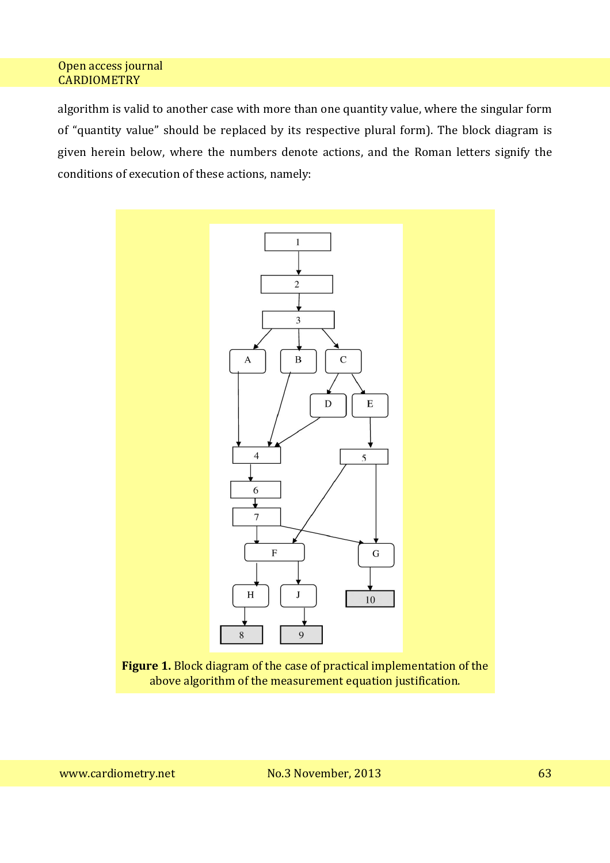algorithm is valid to another case with more than one quantity value, where the singular form of "quantity value" should be replaced by its respective plural form). The block diagram is given herein below, where the numbers denote actions, and the Roman letters signify the conditions of execution of these actions, namely:

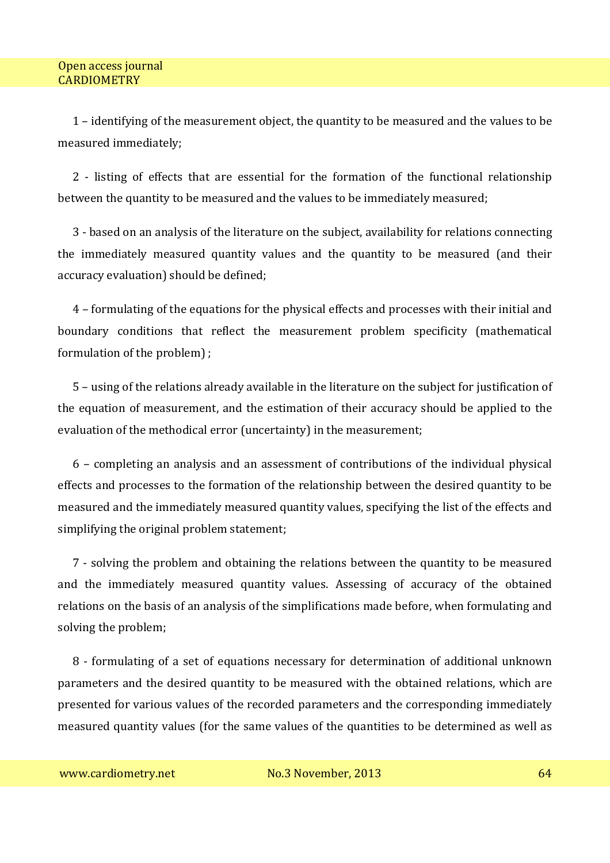1 – identifying of the measurement object, the quantity to be measured and the values to be measured immediately;

2 - listing of effects that are essential for the formation of the functional relationship between the quantity to be measured and the values to be immediately measured;

3 - based on an analysis of the literature on the subject, availability for relations connecting the immediately measured quantity values and the quantity to be measured (and their accuracy evaluation) should be defined;

4 – formulating of the equations for the physical effects and processes with their initial and boundary conditions that reflect the measurement problem specificity (mathematical formulation of the problem) ;

5 – using of the relations already available in the literature on the subject for justification of the equation of measurement, and the estimation of their accuracy should be applied to the evaluation of the methodical error (uncertainty) in the measurement;

6 – completing an analysis and an assessment of contributions of the individual physical effects and processes to the formation of the relationship between the desired quantity to be measured and the immediately measured quantity values, specifying the list of the effects and simplifying the original problem statement;

7 - solving the problem and obtaining the relations between the quantity to be measured and the immediately measured quantity values. Assessing of accuracy of the obtained relations on the basis of an analysis of the simplifications made before, when formulating and solving the problem;

8 - formulating of a set of equations necessary for determination of additional unknown parameters and the desired quantity to be measured with the obtained relations, which are presented for various values of the recorded parameters and the corresponding immediately measured quantity values (for the same values of the quantities to be determined as well as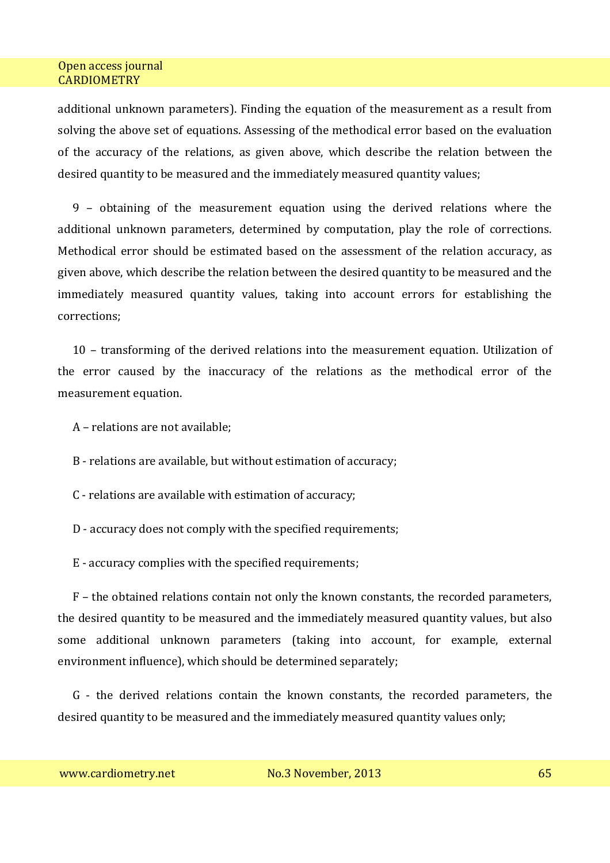additional unknown parameters). Finding the equation of the measurement as a result from solving the above set of equations. Assessing of the methodical error based on the evaluation of the accuracy of the relations, as given above, which describe the relation between the desired quantity to be measured and the immediately measured quantity values;

9 – obtaining of the measurement equation using the derived relations where the additional unknown parameters, determined by computation, play the role of corrections. Methodical error should be estimated based on the assessment of the relation accuracy, as given above, which describe the relation between the desired quantity to be measured and the immediately measured quantity values, taking into account errors for establishing the corrections;

10 – transforming of the derived relations into the measurement equation. Utilization of the error caused by the inaccuracy of the relations as the methodical error of the measurement equation.

A – relations are not available;

B - relations are available, but without estimation of accuracy;

C - relations are available with estimation of accuracy;

D - accuracy does not comply with the specified requirements;

E - accuracy complies with the specified requirements;

F – the obtained relations contain not only the known constants, the recorded parameters, the desired quantity to be measured and the immediately measured quantity values, but also some additional unknown parameters (taking into account, for example, external environment influence), which should be determined separately;

G - the derived relations contain the known constants, the recorded parameters, the desired quantity to be measured and the immediately measured quantity values only;

www.cardiometry.net 1992 No.3 November, 2013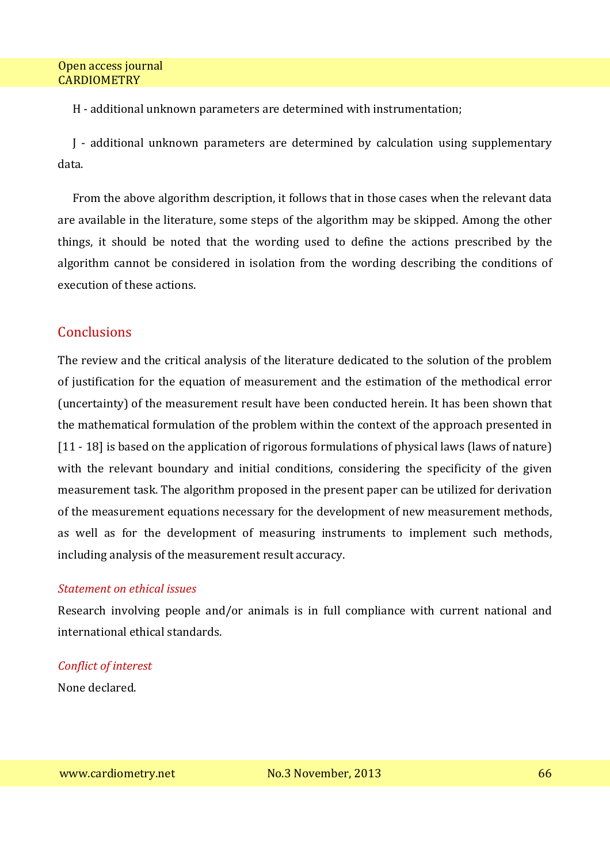H - additional unknown parameters are determined with instrumentation;

J - additional unknown parameters are determined by calculation using supplementary data.

From the above algorithm description, it follows that in those cases when the relevant data are available in the literature, some steps of the algorithm may be skipped. Among the other things, it should be noted that the wording used to define the actions prescribed by the algorithm cannot be considered in isolation from the wording describing the conditions of execution of these actions.

# **Conclusions**

The review and the critical analysis of the literature dedicated to the solution of the problem of justification for the equation of measurement and the estimation of the methodical error (uncertainty) of the measurement result have been conducted herein. It has been shown that the mathematical formulation of the problem within the context of the approach presented in [11 - 18] is based on the application of rigorous formulations of physical laws (laws of nature) with the relevant boundary and initial conditions, considering the specificity of the given measurement task. The algorithm proposed in the present paper can be utilized for derivation of the measurement equations necessary for the development of new measurement methods, as well as for the development of measuring instruments to implement such methods, including analysis of the measurement result accuracy.

# *Statement on ethical issues*

Research involving people and/or animals is in full compliance with current national and international ethical standards.

# *Conflict of interest*

None declared.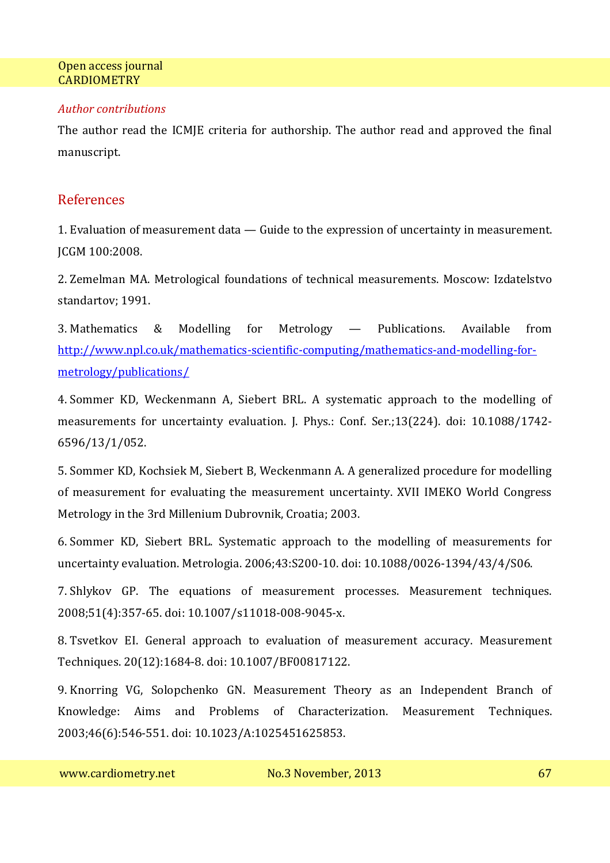### *Author contributions*

The author read the ICMJE criteria for authorship. The author read and approved the final manuscript.

## References

1. Evaluation of measurement data — Guide to the expression of uncertainty in measurement. JCGM 100:2008.

2. Zemelman MA. Metrological foundations of technical measurements. Moscow: Izdatelstvo standartov; 1991.

3. Mathematics & Modelling for Metrology — Publications. Available from http://www.npl.co.uk/mathematics-scientific-computing/mathematics-and-modelling-formetrology/publications/

4. Sommer KD, Weckenmann A, Siebert BRL. A systematic approach to the modelling of measurements for uncertainty evaluation. J. Phys.: Conf. Ser.;13(224). doi: 10.1088/1742- 6596/13/1/052.

5. Sommer KD, Kochsiek M, Siebert B, Weckenmann A. A generalized procedure for modelling of measurement for evaluating the measurement uncertainty. XVII IMEKO World Congress Metrology in the 3rd Millenium Dubrovnik, Croatia; 2003.

6. Sommer KD, Siebert BRL. Systematic approach to the modelling of measurements for uncertainty evaluation. Metrologia. 2006;43:S200-10. doi: 10.1088/0026-1394/43/4/S06.

7. Shlykov GP. The equations of measurement processes. Measurement techniques. 2008;51(4):357-65. doi: 10.1007/s11018-008-9045-x.

8. Tsvetkov EI. General approach to evaluation of measurement accuracy. Measurement Techniques. 20(12):1684-8. doi: 10.1007/BF00817122.

9. Knorring VG, Solopchenko GN. Measurement Theory as an Independent Branch of Knowledge: Aims and Problems of Characterization. Measurement Techniques. 2003;46(6):546-551. doi: 10.1023/A:1025451625853.